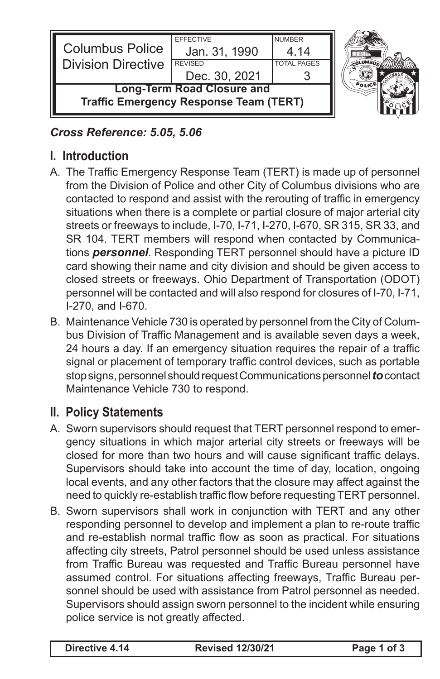

## *Cross Reference: 5.05, 5.06*

## **I. Introduction**

- A. The Traffic Emergency Response Team (TERT) is made up of personnel from the Division of Police and other City of Columbus divisions who are contacted to respond and assist with the rerouting of traffic in emergency situations when there is a complete or partial closure of major arterial city streets or freeways to include, I-70, I-71, I-270, I-670, SR 315, SR 33, and SR 104. TERT members will respond when contacted by Communications *personnel*. Responding TERT personnel should have a picture ID card showing their name and city division and should be given access to closed streets or freeways. Ohio Department of Transportation (ODOT) personnel will be contacted and will also respond for closures of I-70, I-71, I-270, and I-670.
- B. Maintenance Vehicle 730 is operated by personnel from the City of Columbus Division of Traffic Management and is available seven days a week, 24 hours a day. If an emergency situation requires the repair of a traffic signal or placement of temporary traffic control devices, such as portable stop signs, personnel should request Communications personnel **to** contact Maintenance Vehicle 730 to respond.

## **II. Policy Statements**

- A. Sworn supervisors should request that TERT personnel respond to emergency situations in which major arterial city streets or freeways will be closed for more than two hours and will cause significant traffic delays. Supervisors should take into account the time of day, location, ongoing local events, and any other factors that the closure may affect against the need to quickly re-establish traffic flow before requesting TERT personnel.
- B. Sworn supervisors shall work in conjunction with TERT and any other responding personnel to develop and implement a plan to re-route traffic and re-establish normal traffic flow as soon as practical. For situations affecting city streets, Patrol personnel should be used unless assistance from Traffic Bureau was requested and Traffic Bureau personnel have assumed control. For situations affecting freeways, Traffic Bureau personnel should be used with assistance from Patrol personnel as needed. Supervisors should assign sworn personnel to the incident while ensuring police service is not greatly affected.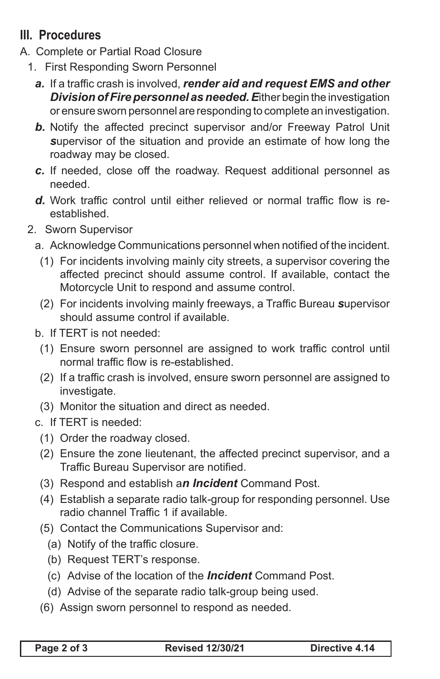## **III. Procedures**

- A. Complete or Partial Road Closure
	- 1. First Responding Sworn Personnel
		- *a.* If a traffic crash is involved, *render aid and request EMS and other Division of Fire personnel as needed. E*ither begin the investigation or ensure sworn personnel are responding to complete an investigation.
		- **b.** Notify the affected precinct supervisor and/or Freeway Patrol Unit *s*upervisor of the situation and provide an estimate of how long the roadway may be closed.
		- *c.* If needed, close off the roadway. Request additional personnel as needed.
		- **d.** Work traffic control until either relieved or normal traffic flow is reestablished.
	- 2. Sworn Supervisor
		- a. Acknowledge Communications personnel when notified of the incident.
			- (1) For incidents involving mainly city streets, a supervisor covering the affected precinct should assume control. If available, contact the Motorcycle Unit to respond and assume control.
			- (2) For incidents involving mainly freeways, a Traffic Bureau *s*upervisor should assume control if available.
		- b. If TERT is not needed:
			- (1) Ensure sworn personnel are assigned to work traffic control until normal traffic flow is re-established.
			- (2) If a traffic crash is involved, ensure sworn personnel are assigned to investigate.
			- (3) Monitor the situation and direct as needed.
		- c. If TERT is needed:
			- (1) Order the roadway closed.
			- (2) Ensure the zone lieutenant, the affected precinct supervisor, and a Traffic Bureau Supervisor are notified.
			- (3) Respond and establish a*n Incident* Command Post.
			- (4) Establish a separate radio talk-group for responding personnel. Use radio channel Traffic 1 if available.
			- (5) Contact the Communications Supervisor and:
				- (a) Notify of the traffic closure.
				- (b) Request TERT's response.
				- (c) Advise of the location of the *Incident* Command Post.
				- (d) Advise of the separate radio talk-group being used.
			- (6) Assign sworn personnel to respond as needed.